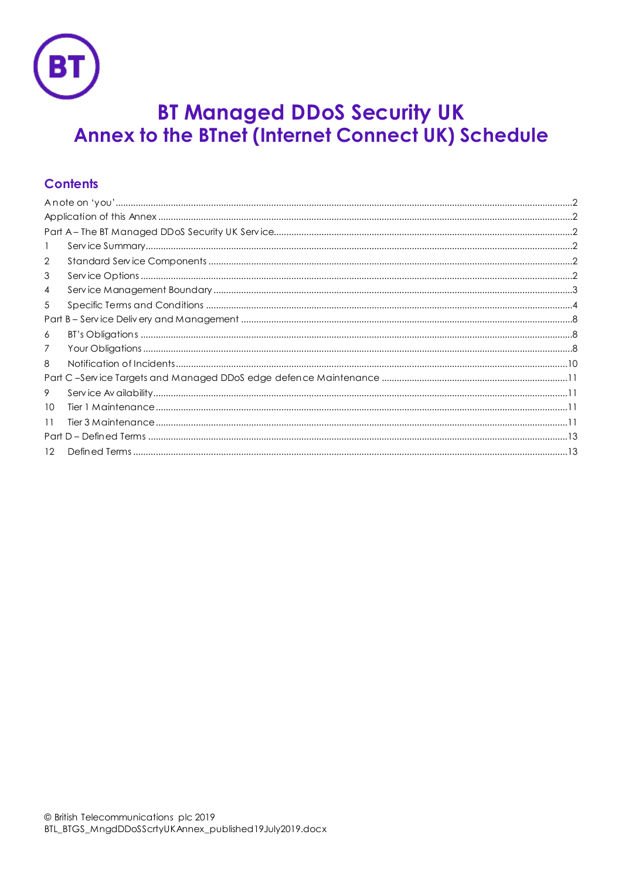

# **BT Managed DDoS Security UK** Annex to the BTnet (Internet Connect UK) Schedule

# **Contents**

| 1  |  |  |  |  |  |
|----|--|--|--|--|--|
| 2  |  |  |  |  |  |
| 3  |  |  |  |  |  |
| 4  |  |  |  |  |  |
| 5  |  |  |  |  |  |
|    |  |  |  |  |  |
| 6  |  |  |  |  |  |
| 7  |  |  |  |  |  |
| 8  |  |  |  |  |  |
|    |  |  |  |  |  |
| 9  |  |  |  |  |  |
| 10 |  |  |  |  |  |
| 11 |  |  |  |  |  |
|    |  |  |  |  |  |
| 12 |  |  |  |  |  |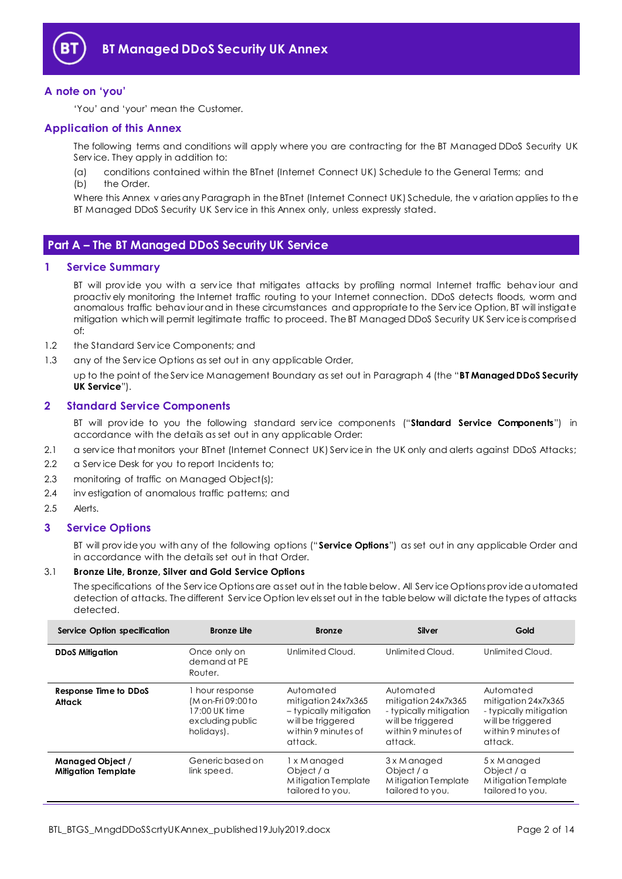

## <span id="page-1-0"></span>**A note on 'you'**

'You' and 'your' mean the Customer.

## <span id="page-1-1"></span>**Application of this Annex**

The following terms and conditions will apply where you are contracting for the BT Managed DDoS Security UK Serv ice. They apply in addition to:

(a) conditions contained within the BTnet (Internet Connect UK) Schedule to the General Terms; and (b) the Order.

Where this Annex v aries any Paragraph in the BTnet (Internet Connect UK) Schedule, the v ariation applies to the BT Managed DDoS Security UK Serv ice in this Annex only, unless expressly stated.

## <span id="page-1-2"></span>**Part A – The BT Managed DDoS Security UK Service**

## <span id="page-1-3"></span>**1 Service Summary**

BT will prov ide you with a serv ice that mitigates attacks by profiling normal Internet traffic behav iour and proactiv ely monitoring the Internet traffic routing to your Internet connection. DDoS detects floods, worm and anomalous traffic behav iour and in these circumstances and appropriate to the Serv ice Option, BT will instigate mitigation which will permit legitimate traffic to proceed. The BT Managed DDoS Security UK Serv ice is comprised of:

- 1.2 the Standard Serv ice Components; and
- 1.3 any of the Service Options as set out in any applicable Order,

up to the point of the Serv ice Management Boundary as set out in Paragrap[h 4](#page-2-0) (the "**BT Managed DDoS Security UK Service**").

## <span id="page-1-4"></span>**2 Standard Service Components**

BT will prov ide to you the following standard serv ice components ("**Standard Service Components**") in accordance with the details as set out in any applicable Order:

- 2.1 a serv ice that monitors your BTnet (Internet Connect UK) Serv ice in the UK only and alerts against DDoS Attacks;
- 2.2 a Service Desk for you to report Incidents to;
- 2.3 monitoring of traffic on Managed Object(s);
- 2.4 inv estigation of anomalous traffic patterns; and
- 2.5 Alerts.

## <span id="page-1-5"></span>**3 Service Options**

BT will prov ide you with any of the following options ("**Service Options**") as set out in any applicable Order and in accordance with the details set out in that Order.

## <span id="page-1-6"></span>3.1 **Bronze Lite, Bronze, Silver and Gold Service Options**

The specifications of the Serv ice Options are as set out in the table below. All Serv ice Options prov ide automated detection of attacks. The different Serv ice Option lev els set out in the table below will dictate the types of attacks detected.

| Service Option specification                   | Bronze Lite                                                                            | <b>Bronze</b>                                                                                                     | Silver                                                                                                            | Gold                                                                                                              |
|------------------------------------------------|----------------------------------------------------------------------------------------|-------------------------------------------------------------------------------------------------------------------|-------------------------------------------------------------------------------------------------------------------|-------------------------------------------------------------------------------------------------------------------|
| <b>DDoS Mitigation</b>                         | Once only on<br>demand at PE<br>Router.                                                | Unlimited Cloud.                                                                                                  | Unlimited Cloud.                                                                                                  | Unlimited Cloud.                                                                                                  |
| Response Time to DDoS<br>Attack                | hour response<br>(M on-Fri 09:00 to<br>17:00 UK time<br>excluding public<br>holidays). | Automated<br>mitigation 24x7x365<br>- typically mitigation<br>will be triggered<br>within 9 minutes of<br>attack. | Automated<br>mitigation 24x7x365<br>- typically mitigation<br>will be triggered<br>within 9 minutes of<br>attack. | Automated<br>mitigation 24x7x365<br>- typically mitigation<br>will be triggered<br>within 9 minutes of<br>attack. |
| Managed Object /<br><b>Mitigation Template</b> | Generic based on<br>link speed.                                                        | 1 x M anaged<br>Object / a<br>Mitigation Template<br>tailored to you.                                             | 3 x M anaged<br>Object / a<br>Mitigation Template<br>tailored to you.                                             | 5 x M anaged<br>Object / a<br>Mitigation Template<br>tailored to you.                                             |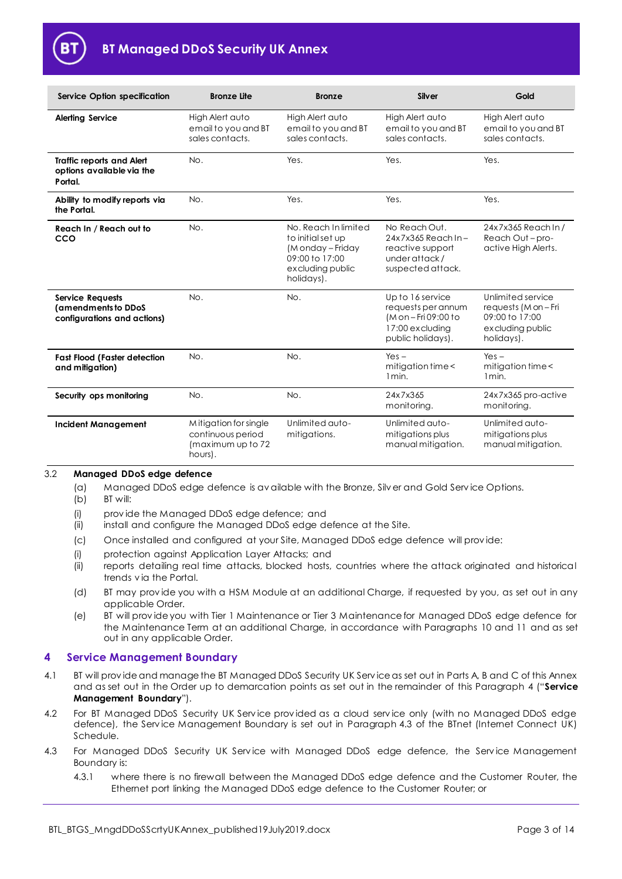

| <b>Service Option specification</b>                                           | <b>Bronze Lite</b>                                                         | <b>Bronze</b>                                                                                                     | <b>Silver</b>                                                                                                 | Gold                                                                                          |
|-------------------------------------------------------------------------------|----------------------------------------------------------------------------|-------------------------------------------------------------------------------------------------------------------|---------------------------------------------------------------------------------------------------------------|-----------------------------------------------------------------------------------------------|
| <b>Alerting Service</b>                                                       | High Alert auto<br>email to you and BT<br>sales contacts.                  | High Alert auto<br>email to you and BT<br>sales contacts.                                                         | High Alert auto<br>email to you and BT<br>sales contacts.                                                     | High Alert auto<br>email to you and BT<br>sales contacts.                                     |
| <b>Traffic reports and Alert</b><br>options available via the<br>Portal.      | No.                                                                        | Yes.                                                                                                              | Yes.                                                                                                          | Yes.                                                                                          |
| Ability to modify reports via<br>the Portal.                                  | No.                                                                        | Yes.                                                                                                              | Yes.                                                                                                          | Yes.                                                                                          |
| Reach In / Reach out to<br>cco                                                | No.                                                                        | No. Reach In limited<br>to initial set up<br>(Monday - Friday<br>09:00 to 17:00<br>excluding public<br>holidays). | No Reach Out.<br>$24x7x365$ Reach In -<br>reactive support<br>under attack /<br>suspected attack.             | 24x7x365 Reach In /<br>Reach Out-pro-<br>active High Alerts.                                  |
| <b>Service Requests</b><br>(amendments to DDoS<br>configurations and actions) | No.                                                                        | No.                                                                                                               | Up to 16 service<br>requests per annum<br>$(M \circ n - Fri 09:00 to$<br>17:00 excluding<br>public holidays). | Unlimited service<br>requests (M on - Fri<br>09:00 to 17:00<br>excluding public<br>holidays). |
| <b>Fast Flood (Faster detection</b><br>and mitigation)                        | No.                                                                        | No.                                                                                                               | $Yes -$<br>mitigation time <<br>1 min.                                                                        | $Yes -$<br>mitigation time <<br>1 <sub>min</sub>                                              |
| Security ops monitoring                                                       | No.                                                                        | No.                                                                                                               | 24x7x365<br>monitoring.                                                                                       | 24x7x365 pro-active<br>monitoring.                                                            |
| <b>Incident Management</b>                                                    | Mitigation for single<br>continuous period<br>(maximum up to 72<br>hours). | Unlimited auto-<br>mitigations.                                                                                   | Unlimited auto-<br>mitigations plus<br>manual mitigation.                                                     | Unlimited auto-<br>mitigations plus<br>manual mitigation.                                     |

## 3.2 **Managed DDoS edge defence**

- (a) Managed DDoS edge defence is av ailable with the Bronze, Silv er and Gold Serv ice Options.
- (b) BT will:
- (i) prov ide the Managed DDoS edge defence; and
- (ii) install and configure the Managed DDoS edge defence at the Site.
- <span id="page-2-1"></span>(c) Once installed and configured at your Site, Managed DDoS edge defence will prov ide:
- (i) protection against Application Layer Attacks; and
- (ii) reports detailing real time attacks, blocked hosts, countries where the attack originated and historical trends v ia the Portal.
- (d) BT may prov ide you with a HSM Module at an additional Charge, if requested by you, as set out in any applicable Order.
- (e) BT will prov ide you with Tier 1 Maintenance or Tier 3 Maintenance for Managed DDoS edge defence for the Maintenance Term at an additional Charge, in accordance with Paragraphs [10](#page-10-2) and [11](#page-10-3) and as set out in any applicable Order.

## <span id="page-2-0"></span>**4 Service Management Boundary**

- <span id="page-2-2"></span>4.1 BT will prov ide and manage the BT Managed DDoS Security UK Serv ice as set out in Parts A, B and C of this Annex and as set out in the Order up to demarcation points as set out in the remainder of this Paragraph [4](#page-2-0) ("**Service Management Boundary**").
- 4.2 For BT Managed DDoS Security UK Service provided as a cloud service only (with no Managed DDoS edge defence), the Serv ice Management Boundary is set out in Paragraph 4.3 of the BTnet (Internet Connect UK) Schedule.
- 4.3 For Managed DDoS Security UK Service with Managed DDoS edge defence, the Service Management Boundary is:
	- 4.3.1 where there is no firewall between the Managed DDoS edge defence and the Customer Router, the Ethernet port linking the Managed DDoS edge defence to the Customer Router; or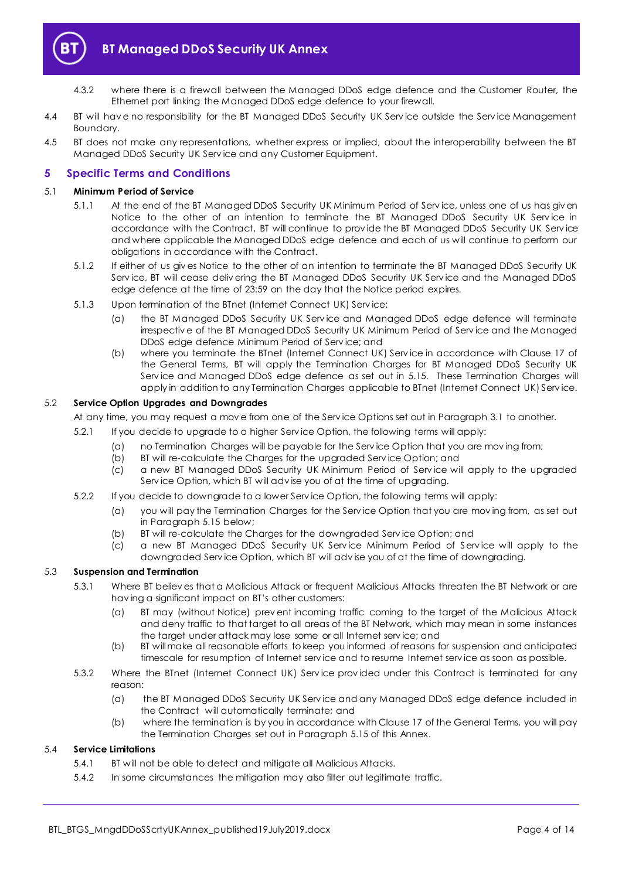

- 4.3.2 where there is a firewall between the Managed DDoS edge defence and the Customer Router, the Ethernet port linking the Managed DDoS edge defence to your firewall.
- 4.4 BT will have no responsibility for the BT Managed DDoS Security UK Service outside the Service Management Boundary.
- 4.5 BT does not make any representations, whether express or implied, about the interoperability between the BT Managed DDoS Security UK Serv ice and any Customer Equipment.

## <span id="page-3-0"></span>**5 Specific Terms and Conditions**

## 5.1 **Minimum Period of Service**

- 5.1.1 At the end of the BT Managed DDoS Security UK Minimum Period of Serv ice, unless one of us has giv en Notice to the other of an intention to terminate the BT Managed DDoS Security UK Service in accordance with the Contract, BT will continue to prov ide the BT Managed DDoS Security UK Serv ice and where applicable the Managed DDoS edge defence and each of us will continue to perform our obligations in accordance with the Contract.
- 5.1.2 If either of us giv es Notice to the other of an intention to terminate the BT Managed DDoS Security UK Serv ice, BT will cease deliv ering the BT Managed DDoS Security UK Serv ice and the Managed DDoS edge defence at the time of 23:59 on the day that the Notice period expires.
- 5.1.3 Upon termination of the BTnet (Internet Connect UK) Serv ice:
	- (a) the BT Managed DDoS Security UK Serv ice and Managed DDoS edge defence will terminate irrespectiv e of the BT Managed DDoS Security UK Minimum Period of Serv ice and the Managed DDoS edge defence Minimum Period of Serv ice; and
	- (b) where you terminate the BTnet (Internet Connect UK) Serv ice in accordance with Clause 17 of the General Terms, BT will apply the Termination Charges for BT Managed DDoS Security UK Serv ice and Managed DDoS edge defence as set out in [5.15.](#page-6-0) These Termination Charges will apply in addition to any Termination Charges applicable to BTnet (Internet Connect UK) Serv ice.

#### 5.2 **Service Option Upgrades and Downgrades**

At any time, you may request a mov e from one of the Serv ice Options set out in Paragraph [3.1](#page-1-6) to another.

- 5.2.1 If you decide to upgrade to a higher Serv ice Option, the following terms will apply:
	- (a) no Termination Charges will be payable for the Serv ice Option that you are mov ing from;
	- (b) BT will re-calculate the Charges for the upgraded Serv ice Option; and
	- (c) a new BT Managed DDoS Security UK Minimum Period of Serv ice will apply to the upgraded Serv ice Option, which BT will adv ise you of at the time of upgrading.
- 5.2.2 If you decide to downgrade to a lower Serv ice Option, the following terms will apply:
	- (a) you will pay the Termination Charges for the Serv ice Option that you are mov ing from, as set out in Paragraph [5.15](#page-6-0) below;
	- (b) BT will re-calculate the Charges for the downgraded Serv ice Option; and
	- (c) a new BT Managed DDoS Security UK Serv ice Minimum Period of Serv ice will apply to the downgraded Serv ice Option, which BT will adv ise you of at the time of downgrading.

## 5.3 **Suspension and Termination**

- 5.3.1 Where BT believ es that a Malicious Attack or frequent Malicious Attacks threaten the BT Network or are hav ing a significant impact on BT's other customers:
	- (a) BT may (without Notice) prev ent incoming traffic coming to the target of the Malicious Attack and deny traffic to that target to all areas of the BT Network, which may mean in some instances the target under attack may lose some or all Internet serv ice; and
	- (b) BT will make all reasonable efforts to keep you informed of reasons for suspension and anticipated timescale for resumption of Internet serv ice and to resume Internet serv ice as soon as possible.
- 5.3.2 Where the BTnet (Internet Connect UK) Serv ice prov ided under this Contract is terminated for any reason:
	- (a) the BT Managed DDoS Security UK Serv ice and any Managed DDoS edge defence included in the Contract will automatically terminate; and
	- (b) where the termination is by you in accordance with Clause 17 of the General Terms, you will pay the Termination Charges set out in Paragraph [5.15](#page-6-0) of this Annex.

## 5.4 **Service Limitations**

- 5.4.1 BT will not be able to detect and mitigate all Malicious Attacks.
- 5.4.2 In some circumstances the mitigation may also filter out legitimate traffic.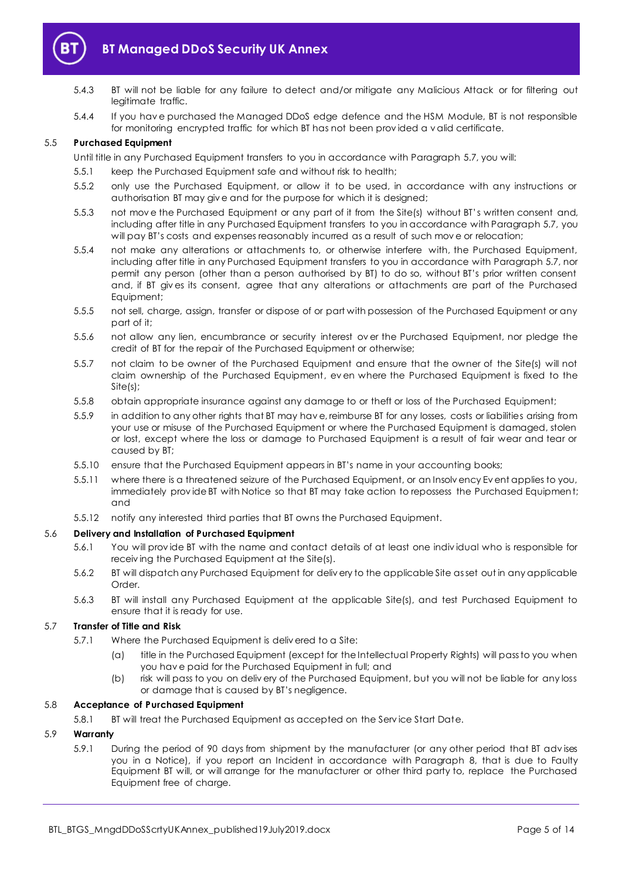

- 5.4.3 BT will not be liable for any failure to detect and/or mitigate any Malicious Attack or for filtering out legitimate traffic.
- 5.4.4 If you hav e purchased the Managed DDoS edge defence and the HSM Module, BT is not responsible for monitoring encrypted traffic for which BT has not been prov ided a v alid certificate.

#### 5.5 **Purchased Equipment**

Until title in any Purchased Equipment transfers to you in accordance with Paragraph [5.7,](#page-4-0) you will:

- 5.5.1 keep the Purchased Equipment safe and without risk to health;
- 5.5.2 only use the Purchased Equipment, or allow it to be used, in accordance with any instructions or authorisation BT may giv e and for the purpose for which it is designed;
- 5.5.3 not mov e the Purchased Equipment or any part of it from the Site(s) without BT's written consent and, including after title in any Purchased Equipment transfers to you in accordance with Paragrap[h 5.7,](#page-4-0) you will pay BT's costs and expenses reasonably incurred as a result of such mov e or relocation;
- 5.5.4 not make any alterations or attachments to, or otherwise interfere with, the Purchased Equipment, including after title in any Purchased Equipment transfers to you in accordance with Paragrap[h 5.7,](#page-4-0) nor permit any person (other than a person authorised by BT) to do so, without BT's prior written consent and, if BT giv es its consent, agree that any alterations or attachments are part of the Purchased Equipment;
- 5.5.5 not sell, charge, assign, transfer or dispose of or part with possession of the Purchased Equipment or any part of it;
- 5.5.6 not allow any lien, encumbrance or security interest ov er the Purchased Equipment, nor pledge the credit of BT for the repair of the Purchased Equipment or otherwise;
- 5.5.7 not claim to be owner of the Purchased Equipment and ensure that the owner of the Site(s) will not claim ownership of the Purchased Equipment, ev en where the Purchased Equipment is fixed to the Site(s);
- 5.5.8 obtain appropriate insurance against any damage to or theft or loss of the Purchased Equipment;
- 5.5.9 in addition to any other rights that BT may hav e, reimburse BT for any losses, costs or liabilities arising from your use or misuse of the Purchased Equipment or where the Purchased Equipment is damaged, stolen or lost, except where the loss or damage to Purchased Equipment is a result of fair wear and tear or caused by BT;
- 5.5.10 ensure that the Purchased Equipment appears in BT's name in your accounting books;
- 5.5.11 where there is a threatened seizure of the Purchased Equipment, or an Insolv ency Ev ent applies to you, immediately prov ide BT with Notice so that BT may take action to repossess the Purchased Equipment; and
- 5.5.12 notify any interested third parties that BT owns the Purchased Equipment.

## 5.6 **Delivery and Installation of Purchased Equipment**

- 5.6.1 You will prov ide BT with the name and contact details of at least one indiv idual who is responsible for receiv ing the Purchased Equipment at the Site(s).
- 5.6.2 BT will dispatch any Purchased Equipment for deliv ery to the applicable Site as set out in any applicable Order.
- 5.6.3 BT will install any Purchased Equipment at the applicable Site(s), and test Purchased Equipment to ensure that it is ready for use.

## <span id="page-4-0"></span>5.7 **Transfer of Title and Risk**

- 5.7.1 Where the Purchased Equipment is deliv ered to a Site:
	- (a) title in the Purchased Equipment (except for the Intellectual Property Rights) will pass to you when you hav e paid for the Purchased Equipment in full; and
	- (b) risk will pass to you on deliv ery of the Purchased Equipment, but you will not be liable for any loss or damage that is caused by BT's negligence.

## 5.8 **Acceptance of Purchased Equipment**

5.8.1 BT will treat the Purchased Equipment as accepted on the Serv ice Start Date.

## <span id="page-4-1"></span>5.9 **Warranty**

5.9.1 During the period of 90 days from shipment by the manufacturer (or any other period that BT adv ises you in a Notice), if you report an Incident in accordance with Paragraph [8,](#page-9-0) that is due to Faulty Equipment BT will, or will arrange for the manufacturer or other third party to, replace the Purchased Equipment free of charge.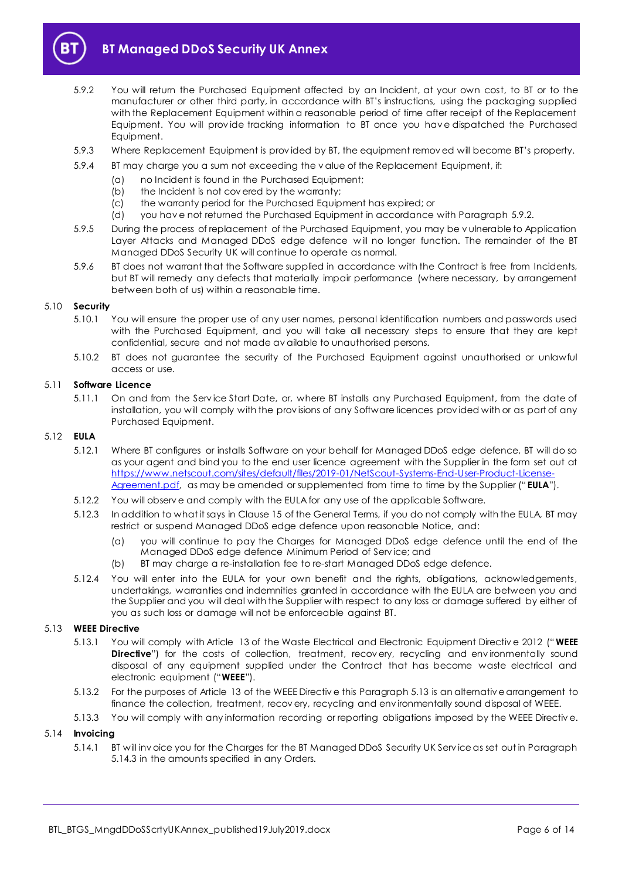

- <span id="page-5-0"></span>5.9.2 You will return the Purchased Equipment affected by an Incident, at your own cost, to BT or to the manufacturer or other third party, in accordance with BT's instructions, using the packaging supplied with the Replacement Equipment within a reasonable period of time after receipt of the Replacement Equipment. You will prov ide tracking information to BT once you hav e dispatched the Purchased Equipment.
- 5.9.3 Where Replacement Equipment is prov ided by BT, the equipment remov ed will become BT's property.
- <span id="page-5-2"></span>5.9.4 BT may charge you a sum not exceeding the v alue of the Replacement Equipment, if:
	- - (a) no Incident is found in the Purchased Equipment;<br>(b) the Incident is not covered by the warranty: the Incident is not covered by the warranty;
		- (c) the warranty period for the Purchased Equipment has expired; or
	- (d) you hav e not returned the Purchased Equipment in accordance with Paragraph [5.9.2.](#page-5-0)
- 5.9.5 During the process of replacement of the Purchased Equipment, you may be v ulnerable to Application Layer Attacks and Managed DDoS edge defence will no longer function. The remainder of the BT Managed DDoS Security UK will continue to operate as normal.
- 5.9.6 BT does not warrant that the Software supplied in accordance with the Contract is free from Incidents, but BT will remedy any defects that materially impair performance (where necessary, by arrangement between both of us) within a reasonable time.

#### 5.10 **Security**

- 5.10.1 You will ensure the proper use of any user names, personal identification numbers and passwords used with the Purchased Equipment, and you will take all necessary steps to ensure that they are kept confidential, secure and not made av ailable to unauthorised persons.
- 5.10.2 BT does not guarantee the security of the Purchased Equipment against unauthorised or unlawful access or use.

## 5.11 **Software Licence**

5.11.1 On and from the Serv ice Start Date, or, where BT installs any Purchased Equipment, from the date of installation, you will comply with the prov isions of any Software licences prov ided with or as part of any Purchased Equipment.

#### <span id="page-5-3"></span>5.12 **EULA**

- 5.12.1 Where BT configures or installs Software on your behalf for Managed DDoS edge defence, BT will do so as your agent and bind you to the end user licence agreement with the Supplier in the form set out at [https://www.netscout.com/sites/default/files/2019-01/NetScout-Systems-End-User-Product-License-](https://www.netscout.com/sites/default/files/2019-01/NetScout-Systems-End-User-Product-License-Agreement.pdf)[Agreement.pdf](https://www.netscout.com/sites/default/files/2019-01/NetScout-Systems-End-User-Product-License-Agreement.pdf), as may be amended or supplemented from time to time by the Supplier ("EULA").
- 5.12.2 You will observ e and comply with the EULA for any use of the applicable Software.
- 5.12.3 In addition to what it says in Clause 15 of the General Terms, if you do not comply with the EULA, BT may restrict or suspend Managed DDoS edge defence upon reasonable Notice, and:
	- (a) you will continue to pay the Charges for Managed DDoS edge defence until the end of the Managed DDoS edge defence Minimum Period of Serv ice; and
	- (b) BT may charge a re-installation fee to re-start Managed DDoS edge defence.
- 5.12.4 You will enter into the EULA for your own benefit and the rights, obligations, acknowledgements, undertakings, warranties and indemnities granted in accordance with the EULA are between you and the Supplier and you will deal with the Supplier with respect to any loss or damage suffered by either of you as such loss or damage will not be enforceable against BT.

#### <span id="page-5-1"></span>5.13 **WEEE Directive**

- 5.13.1 You will comply with Article 13 of the Waste Electrical and Electronic Equipment Directiv e 2012 (" **WEEE Directive**") for the costs of collection, treatment, recovery, recycling and environmentally sound disposal of any equipment supplied under the Contract that has become waste electrical and electronic equipment ("**WEEE**").
- 5.13.2 For the purposes of Article 13 of the WEEE Directiv e this Paragraph [5.13](#page-5-1) is an alternativ e arrangement to finance the collection, treatment, recov ery, recycling and env ironmentally sound disposal of WEEE.
- 5.13.3 You will comply with any information recording or reporting obligations imposed by the WEEE Directiv e.

## 5.14 **Invoicing**

5.14.1 BT will inv oice you for the Charges for the BT Managed DDoS Security UK Serv ice as set out in Paragraph [5.14.3](#page-6-1) in the amounts specified in any Orders.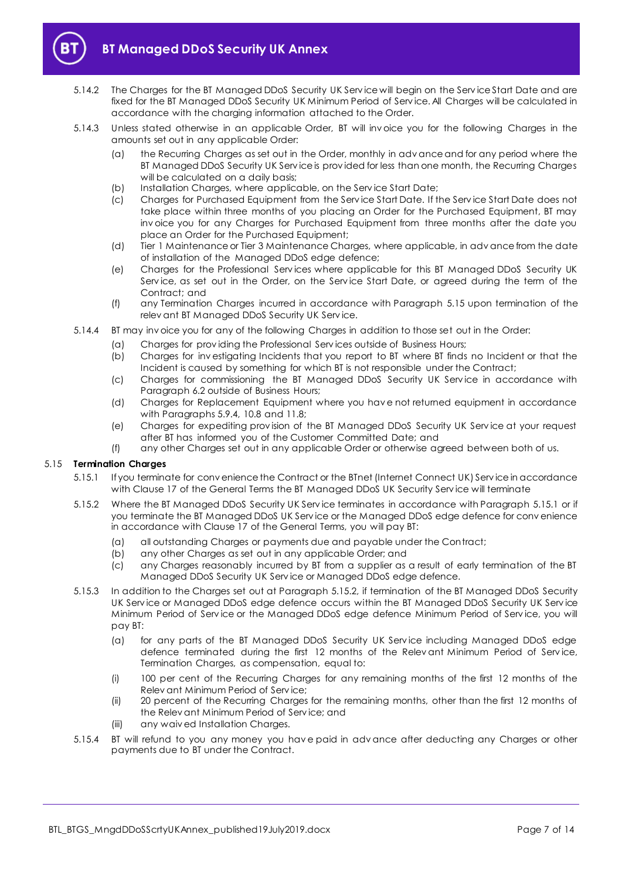

- 5.14.2 The Charges for the BT Managed DDoS Security UK Serv ice will begin on the Serv ice Start Date and are fixed for the BT Managed DDoS Security UK Minimum Period of Serv ice. All Charges will be calculated in accordance with the charging information attached to the Order.
- <span id="page-6-1"></span>5.14.3 Unless stated otherwise in an applicable Order, BT will inv oice you for the following Charges in the amounts set out in any applicable Order:
	- (a) the Recurring Charges as set out in the Order, monthly in adv ance and for any period where the BT Managed DDoS Security UK Serv ice is prov ided for less than one month, the Recurring Charges will be calculated on a daily basis;
	- (b) Installation Charges, where applicable, on the Serv ice Start Date;
	- (c) Charges for Purchased Equipment from the Serv ice Start Date. If the Serv ice Start Date does not take place within three months of you placing an Order for the Purchased Equipment, BT may inv oice you for any Charges for Purchased Equipment from three months after the date you place an Order for the Purchased Equipment;
	- (d) Tier 1 Maintenance or Tier 3 Maintenance Charges, where applicable, in adv ance from the date of installation of the Managed DDoS edge defence;
	- (e) Charges for the Professional Serv ices where applicable for this BT Managed DDoS Security UK Service, as set out in the Order, on the Service Start Date, or agreed during the term of the Contract; and
	- (f) any Termination Charges incurred in accordance with Paragraph [5.15](#page-6-0) upon termination of the relev ant BT Managed DDoS Security UK Serv ice.
- 5.14.4 BT may inv oice you for any of the following Charges in addition to those set out in the Order:
	- (a) Charges for prov iding the Professional Serv ices outside of Business Hours;
	- (b) Charges for inv estigating Incidents that you report to BT where BT finds no Incident or that the Incident is caused by something for which BT is not responsible under the Contract;
	- (c) Charges for commissioning the BT Managed DDoS Security UK Service in accordance with Paragraph [6.2](#page-7-3) outside of Business Hours;
	- (d) Charges for Replacement Equipment where you hav e not returned equipment in accordance with Paragraphs [5.9.4,](#page-5-2) [10.8](#page-10-4) an[d 11.8;](#page-11-0)
	- (e) Charges for expediting prov ision of the BT Managed DDoS Security UK Serv ice at your request after BT has informed you of the Customer Committed Date; and
	- (f) any other Charges set out in any applicable Order or otherwise agreed between both of us.

## <span id="page-6-2"></span><span id="page-6-0"></span>5.15 **Termination Charges**

- 5.15.1 If you terminate for conv enience the Contract or the BTnet (Internet Connect UK) Serv ice in accordance with Clause 17 of the General Terms the BT Managed DDoS UK Security Serv ice will terminate
- <span id="page-6-3"></span>5.15.2 Where the BT Managed DDoS Security UK Serv ice terminates in accordance with Paragraph [5.15.1](#page-6-2) or if you terminate the BT Managed DDoS UK Serv ice or the Managed DDoS edge defence for conv enience in accordance with Clause 17 of the General Terms, you will pay BT:
	- (a) all outstanding Charges or payments due and payable under the Contract;
	- (b) any other Charges as set out in any applicable Order; and
	- (c) any Charges reasonably incurred by BT from a supplier as a result of early termination of the BT Managed DDoS Security UK Serv ice or Managed DDoS edge defence.
- 5.15.3 In addition to the Charges set out at Paragrap[h 5.15.2,](#page-6-3) if termination of the BT Managed DDoS Security UK Serv ice or Managed DDoS edge defence occurs within the BT Managed DDoS Security UK Serv ice Minimum Period of Serv ice or the Managed DDoS edge defence Minimum Period of Serv ice, you will pay BT:
	- (a) for any parts of the BT Managed DDoS Security UK Serv ice including Managed DDoS edge defence terminated during the first 12 months of the Relev ant Minimum Period of Service, Termination Charges, as compensation, equal to:
	- (i) 100 per cent of the Recurring Charges for any remaining months of the first 12 months of the Relev ant Minimum Period of Serv ice;
	- (ii) 20 percent of the Recurring Charges for the remaining months, other than the first 12 months of the Relev ant Minimum Period of Serv ice; and
	- (iii) any waiv ed Installation Charges.
- 5.15.4 BT will refund to you any money you hav e paid in adv ance after deducting any Charges or other payments due to BT under the Contract.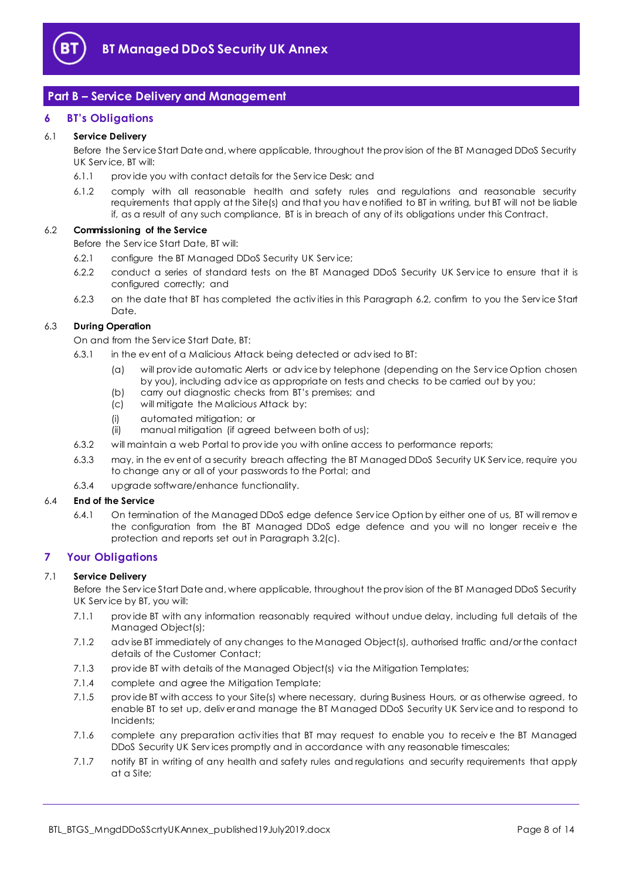

# <span id="page-7-0"></span>**Part B – Service Delivery and Management**

## <span id="page-7-1"></span>**6 BT's Obligations**

## 6.1 **Service Delivery**

Before the Serv ice Start Date and, where applicable, throughout the prov ision of the BT Managed DDoS Security UK Serv ice, BT will:

- 6.1.1 prov ide you with contact details for the Serv ice Desk; and
- 6.1.2 comply with all reasonable health and safety rules and regulations and reasonable security requirements that apply at the Site(s) and that you hav e notified to BT in writing, but BT will not be liable if, as a result of any such compliance, BT is in breach of any of its obligations under this Contract.

## <span id="page-7-3"></span>6.2 **Commissioning of the Service**

Before the Serv ice Start Date, BT will:

- 6.2.1 configure the BT Managed DDoS Security UK Serv ice;
- 6.2.2 conduct a series of standard tests on the BT Managed DDoS Security UK Serv ice to ensure that it is configured correctly; and
- 6.2.3 on the date that BT has completed the activ ities in this Paragraph [6.2,](#page-7-3) confirm to you the Serv ice Start Date.

## 6.3 **During Operation**

On and from the Serv ice Start Date, BT:

- 6.3.1 in the ev ent of a Malicious Attack being detected or adv ised to BT:
	- (a) will prov ide automatic Alerts or adv ice by telephone (depending on the Serv ice Option chosen by you), including adv ice as appropriate on tests and checks to be carried out by you;
	- (b) carry out diagnostic checks from BT's premises; and
	- (c) will mitigate the Malicious Attack by:
	- (i) automated mitigation; or
	- (ii) manual mitigation (if agreed between both of us);
- 6.3.2 will maintain a web Portal to prov ide you with online access to performance reports;
- 6.3.3 may, in the ev ent of a security breach affecting the BT Managed DDoS Security UK Serv ice, require you to change any or all of your passwords to the Portal; and
- 6.3.4 upgrade software/enhance functionality.

## 6.4 **End of the Service**

6.4.1 On termination of the Managed DDoS edge defence Serv ice Option by either one of us, BT will remov e the configuration from the BT Managed DDoS edge defence and you will no longer receiv e the protection and reports set out in Paragraph [3.2\(c\).](#page-2-1)

## <span id="page-7-2"></span>**7 Your Obligations**

## 7.1 **Service Delivery**

Before the Serv ice Start Date and, where applicable, throughout the prov ision of the BT Managed DDoS Security UK Serv ice by BT, you will:

- 7.1.1 prov ide BT with any information reasonably required without undue delay, including full details of the Managed Object(s);
- 7.1.2 adv ise BT immediately of any changes to the Managed Object(s), authorised traffic and/or the contact details of the Customer Contact;
- 7.1.3 prov ide BT with details of the Managed Object(s) v ia the Mitigation Templates;
- 7.1.4 complete and agree the Mitigation Template;
- 7.1.5 prov ide BT with access to your Site(s) where necessary, during Business Hours, or as otherwise agreed, to enable BT to set up, deliv er and manage the BT Managed DDoS Security UK Serv ice and to respond to Incidents;
- 7.1.6 complete any preparation activ ities that BT may request to enable you to receiv e the BT Managed DDoS Security UK Serv ices promptly and in accordance with any reasonable timescales;
- 7.1.7 notify BT in writing of any health and safety rules and regulations and security requirements that apply at a Site;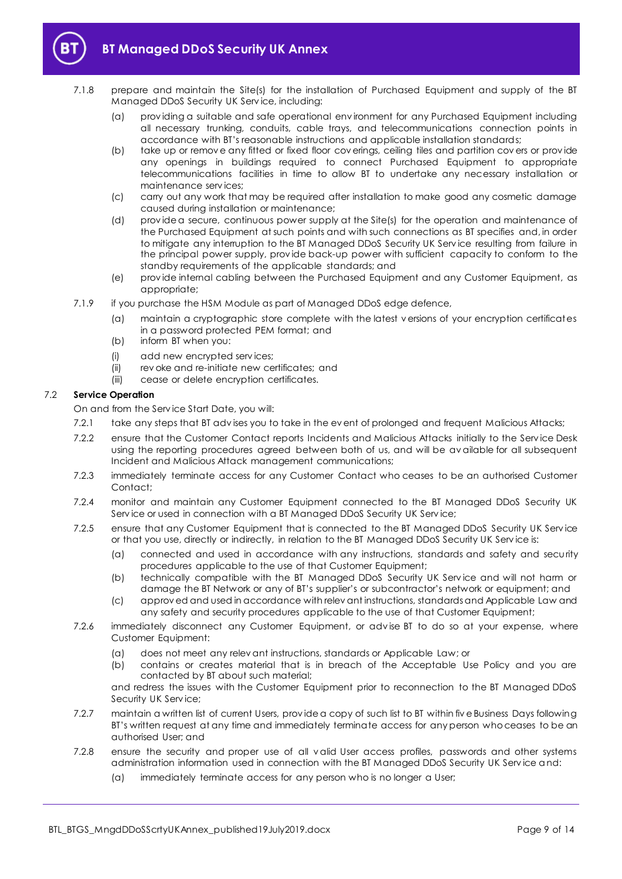

- 7.1.8 prepare and maintain the Site(s) for the installation of Purchased Equipment and supply of the BT Managed DDoS Security UK Serv ice, including:
	- (a) prov iding a suitable and safe operational env ironment for any Purchased Equipment including all necessary trunking, conduits, cable trays, and telecommunications connection points in accordance with BT's reasonable instructions and applicable installation standards;
	- (b) take up or remov e any fitted or fixed floor cov erings, ceiling tiles and partition cov ers or prov ide any openings in buildings required to connect Purchased Equipment to appropriate telecommunications facilities in time to allow BT to undertake any necessary installation or maintenance serv ices;
	- (c) carry out any work that may be required after installation to make good any cosmetic damage caused during installation or maintenance;
	- (d) prov ide a secure, continuous power supply at the Site(s) for the operation and maintenance of the Purchased Equipment at such points and with such connections as BT specifies and, in order to mitigate any interruption to the BT Managed DDoS Security UK Serv ice resulting from failure in the principal power supply, prov ide back-up power with sufficient capacity to conform to the standby requirements of the applicable standards; and
	- (e) prov ide internal cabling between the Purchased Equipment and any Customer Equipment, as appropriate;
- 7.1.9 if you purchase the HSM Module as part of Managed DDoS edge defence,
	- (a) maintain a cryptographic store complete with the latest v ersions of your encryption certificates in a password protected PEM format; and
	- (b) inform BT when you:
	- (i) add new encrypted serv ices;
	- (ii) rev oke and re-initiate new certificates; and
	- (iii) cease or delete encryption certificates.

## 7.2 **Service Operation**

On and from the Serv ice Start Date, you will:

- 7.2.1 take any steps that BT adv ises you to take in the ev ent of prolonged and frequent Malicious Attacks;
- 7.2.2 ensure that the Customer Contact reports Incidents and Malicious Attacks initially to the Serv ice Desk using the reporting procedures agreed between both of us, and will be av ailable for all subsequent Incident and Malicious Attack management communications;
- 7.2.3 immediately terminate access for any Customer Contact who ceases to be an authorised Customer Contact;
- 7.2.4 monitor and maintain any Customer Equipment connected to the BT Managed DDoS Security UK Serv ice or used in connection with a BT Managed DDoS Security UK Serv ice;
- 7.2.5 ensure that any Customer Equipment that is connected to the BT Managed DDoS Security UK Serv ice or that you use, directly or indirectly, in relation to the BT Managed DDoS Security UK Serv ice is:
	- (a) connected and used in accordance with any instructions, standards and safety and security procedures applicable to the use of that Customer Equipment;
	- (b) technically compatible with the BT Managed DDoS Security UK Service and will not harm or damage the BT Network or any of BT's supplier's or subcontractor's network or equipment; and
	- (c) approv ed and used in accordance with relev ant instructions, standards and Applicable Law and any safety and security procedures applicable to the use of that Customer Equipment;
- 7.2.6 immediately disconnect any Customer Equipment, or adv ise BT to do so at your expense, where Customer Equipment:
	- (a) does not meet any relev ant instructions, standards or Applicable Law; or
	- (b) contains or creates material that is in breach of the Acceptable Use Policy and you are contacted by BT about such material;

and redress the issues with the Customer Equipment prior to reconnection to the BT Managed DDoS Security UK Serv ice;

- 7.2.7 maintain a written list of current Users, prov ide a copy of such list to BT within fiv e Business Days following BT's written request at any time and immediately terminate access for any person who ceases to be an authorised User; and
- 7.2.8 ensure the security and proper use of all v alid User access profiles, passwords and other systems administration information used in connection with the BT Managed DDoS Security UK Serv ice and:
	- (a) immediately terminate access for any person who is no longer a User;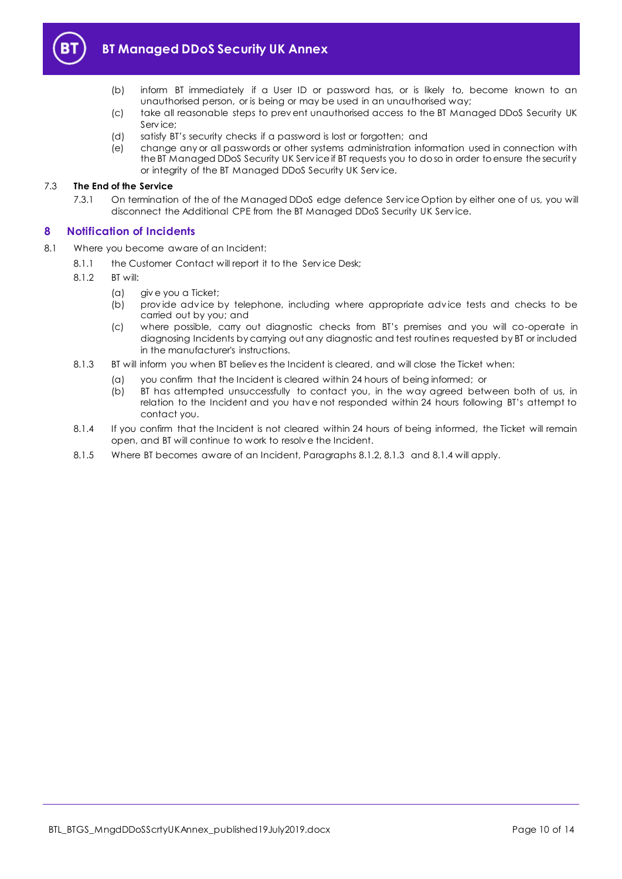

- (b) inform BT immediately if a User ID or password has, or is likely to, become known to an unauthorised person, or is being or may be used in an unauthorised way;
- (c) take all reasonable steps to prev ent unauthorised access to the BT Managed DDoS Security UK Service<sup>;</sup>
- (d) satisfy BT's security checks if a password is lost or forgotten; and
- (e) change any or all passwords or other systems administration information used in connection with the BT Managed DDoS Security UK Serv ice if BT requests you to do so in order to ensure the security or integrity of the BT Managed DDoS Security UK Serv ice.

#### 7.3 **The End of the Service**

7.3.1 On termination of the of the Managed DDoS edge defence Serv ice Option by either one of us, you will disconnect the Additional CPE from the BT Managed DDoS Security UK Serv ice.

## <span id="page-9-0"></span>**8 Notification of Incidents**

- <span id="page-9-3"></span><span id="page-9-2"></span><span id="page-9-1"></span>8.1 Where you become aware of an Incident:
	- 8.1.1 the Customer Contact will report it to the Service Desk;
	- 8.1.2 BT will:
		- (a) giv e you a Ticket;
		- (b) prov ide adv ice by telephone, including where appropriate adv ice tests and checks to be carried out by you; and
		- (c) where possible, carry out diagnostic checks from BT's premises and you will co-operate in diagnosing Incidents by carrying out any diagnostic and test routines requested by BT or included in the manufacturer's instructions.
	- 8.1.3 BT will inform you when BT believ es the Incident is cleared, and will close the Ticket when:
		- (a) you confirm that the Incident is cleared within 24 hours of being informed; or
			- (b) BT has attempted unsuccessfully to contact you, in the way agreed between both of us, in relation to the Incident and you hav e not responded within 24 hours following BT's attempt to contact you.
	- 8.1.4 If you confirm that the Incident is not cleared within 24 hours of being informed, the Ticket will remain open, and BT will continue to work to resolv e the Incident.
	- 8.1.5 Where BT becomes aware of an Incident, Paragraph[s 8.1.2,](#page-9-1) [8.1.3](#page-9-2) an[d 8.1.4](#page-9-3) will apply.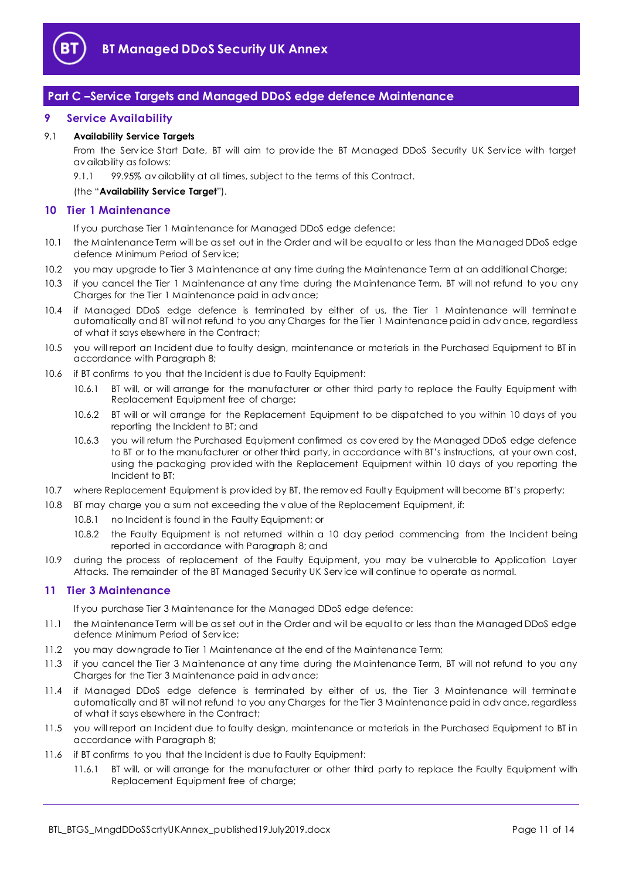

# <span id="page-10-0"></span>**Part C –Service Targets and Managed DDoS edge defence Maintenance**

## <span id="page-10-1"></span>**9 Service Availability**

## <span id="page-10-5"></span>9.1 **Availability Service Targets**

From the Service Start Date, BT will aim to provide the BT Managed DDoS Security UK Service with target av ailability as follows:

9.1.1 99.95% av ailability at all times, subject to the terms of this Contract.

## (the "**Availability Service Target**").

## <span id="page-10-2"></span>**10 Tier 1 Maintenance**

If you purchase Tier 1 Maintenance for Managed DDoS edge defence:

- 10.1 the Maintenance Term will be as set out in the Order and will be equal to or less than the Managed DDoS edge defence Minimum Period of Serv ice;
- 10.2 you may upgrade to Tier 3 Maintenance at any time during the Maintenance Term at an additional Charge;
- 10.3 if you cancel the Tier 1 Maintenance at any time during the Maintenance Term, BT will not refund to you any Charges for the Tier 1 Maintenance paid in adv ance;
- 10.4 if Managed DDoS edge defence is terminated by either of us, the Tier 1 Maintenance will terminate automatically and BT will not refund to you any Charges for the Tier 1 Maintenance paid in adv ance, regardless of what it says elsewhere in the Contract;
- 10.5 you will report an Incident due to faulty design, maintenance or materials in the Purchased Equipment to BT in accordance with Paragraph [8;](#page-9-0)
- <span id="page-10-6"></span>10.6 if BT confirms to you that the Incident is due to Faulty Equipment:
	- 10.6.1 BT will, or will arrange for the manufacturer or other third party to replace the Faulty Equipment with Replacement Equipment free of charge;
	- 10.6.2 BT will or will arrange for the Replacement Equipment to be dispatched to you within 10 days of you reporting the Incident to BT; and
	- 10.6.3 you will return the Purchased Equipment confirmed as cov ered by the Managed DDoS edge defence to BT or to the manufacturer or other third party, in accordance with BT's instructions, at your own cost, using the packaging prov ided with the Replacement Equipment within 10 days of you reporting the Incident to BT;
- 10.7 where Replacement Equipment is prov ided by BT, the remov ed Faulty Equipment will become BT's property;
- <span id="page-10-4"></span>10.8 BT may charge you a sum not exceeding the v alue of the Replacement Equipment, if:
	- 10.8.1 no Incident is found in the Faulty Equipment; or
	- 10.8.2 the Faulty Equipment is not returned within a 10 day period commencing from the Incident being reported in accordance with Paragraph [8;](#page-9-0) and
- 10.9 during the process of replacement of the Faulty Equipment, you may be v ulnerable to Application Layer Attacks. The remainder of the BT Managed Security UK Serv ice will continue to operate as normal.

## <span id="page-10-3"></span>**11 Tier 3 Maintenance**

If you purchase Tier 3 Maintenance for the Managed DDoS edge defence:

- 11.1 the Maintenance Term will be as set out in the Order and will be equal to or less than the Managed DDoS edge defence Minimum Period of Serv ice;
- 11.2 you may downgrade to Tier 1 Maintenance at the end of the Maintenance Term;
- 11.3 if you cancel the Tier 3 Maintenance at any time during the Maintenance Term, BT will not refund to you any Charges for the Tier 3 Maintenance paid in adv ance;
- 11.4 if Managed DDoS edge defence is terminated by either of us, the Tier 3 Maintenance will terminate automatically and BT will not refund to you any Charges for the Tier 3 Maintenance paid in adv ance, regardless of what it says elsewhere in the Contract;
- 11.5 you will report an Incident due to faulty design, maintenance or materials in the Purchased Equipment to BT in accordance with Paragraph [8;](#page-9-0)
- <span id="page-10-7"></span>11.6 if BT confirms to you that the Incident is due to Faulty Equipment:
	- 11.6.1 BT will, or will arrange for the manufacturer or other third party to replace the Faulty Equipment with Replacement Equipment free of charge;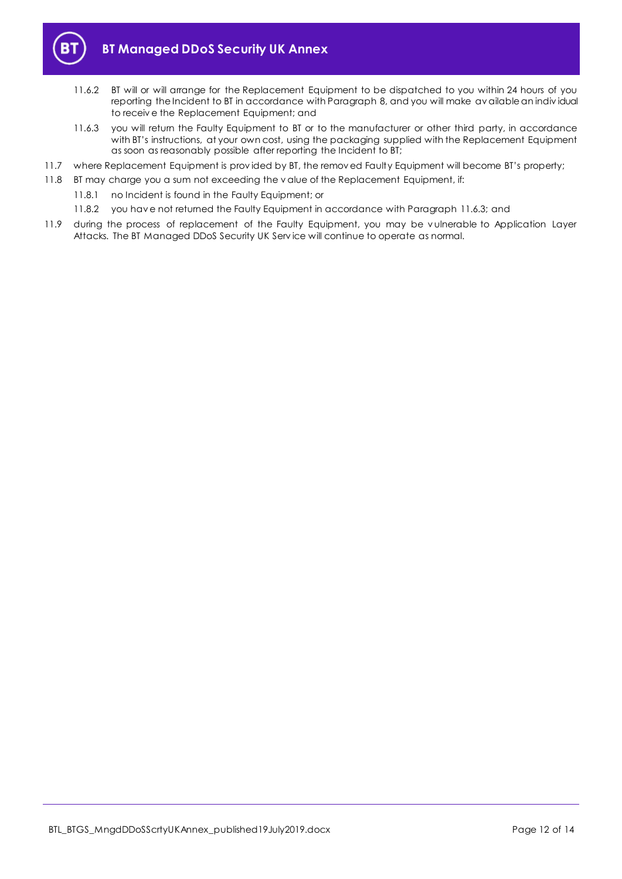

- 11.6.2 BT will or will arrange for the Replacement Equipment to be dispatched to you within 24 hours of you reporting the Incident to BT in accordance with Paragraph [8,](#page-9-0) and you will make av ailable an indiv idual to receiv e the Replacement Equipment; and
- <span id="page-11-1"></span>11.6.3 you will return the Faulty Equipment to BT or to the manufacturer or other third party, in accordance with BT's instructions, at your own cost, using the packaging supplied with the Replacement Equipment as soon as reasonably possible after reporting the Incident to BT;
- 11.7 where Replacement Equipment is prov ided by BT, the remov ed Faulty Equipment will become BT's property;
- <span id="page-11-0"></span>11.8 BT may charge you a sum not exceeding the v alue of the Replacement Equipment, if:
	- 11.8.1 no Incident is found in the Faulty Equipment; or
	- 11.8.2 you hav e not returned the Faulty Equipment in accordance with Paragrap[h 11.6.3;](#page-11-1) and
- 11.9 during the process of replacement of the Faulty Equipment, you may be v ulnerable to Application Layer Attacks. The BT Managed DDoS Security UK Serv ice will continue to operate as normal.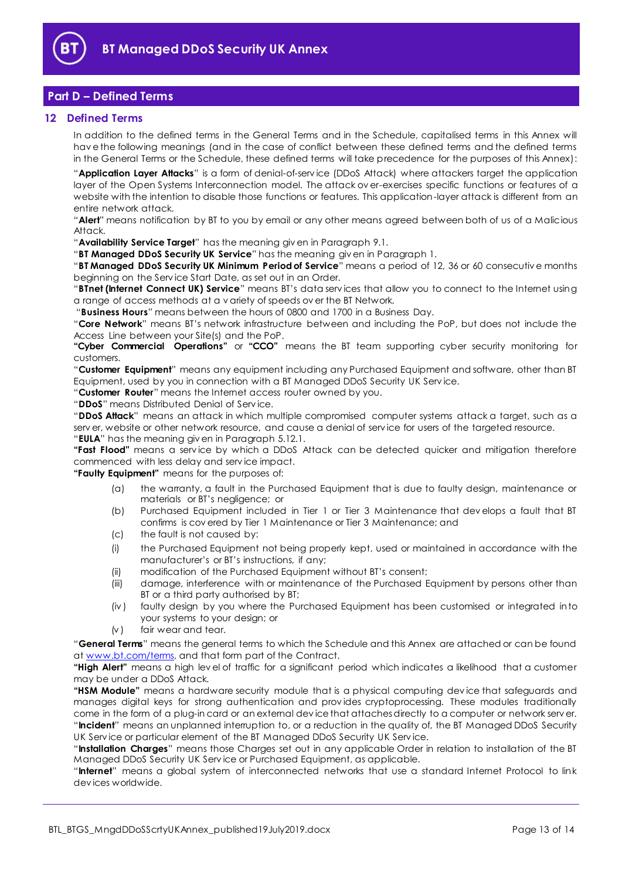

# <span id="page-12-0"></span>**Part D – Defined Terms**

## <span id="page-12-1"></span>**12 Defined Terms**

In addition to the defined terms in the General Terms and in the Schedule, capitalised terms in this Annex will hav e the following meanings (and in the case of conflict between these defined terms and the defined terms in the General Terms or the Schedule, these defined terms will take precedence for the purposes of this Annex):

"**Application Layer Attacks**" is a form of denial-of-serv ice (DDoS Attack) where attackers target the application layer of the Open Systems Interconnection model. The attack ov er-exercises specific functions or features of a website with the intention to disable those functions or features. This application-layer attack is different from an entire network attack.

"**Alert**" means notification by BT to you by email or any other means agreed between both of us of a Malicious Attack.

"**Availability Service Target**" has the meaning giv en in Paragraph [9.1.](#page-10-5)

"**BT Managed DDoS Security UK Service**" has the meaning giv en in Paragrap[h 1.](#page-1-3)

"**BT Managed DDoS Security UK Minimum Period of Service**" means a period of 12, 36 or 60 consecutiv e months beginning on the Serv ice Start Date, as set out in an Order.

"**BTnet (Internet Connect UK) Service**" means BT's data serv ices that allow you to connect to the Internet using a range of access methods at a v ariety of speeds ov er the BT Network.

"**Business Hours**" means between the hours of 0800 and 1700 in a Business Day.

"**Core Network**" means BT's network infrastructure between and including the PoP, but does not include the Access Line between your Site(s) and the PoP.

**"Cyber Commercial Operations"** or **"CCO"** means the BT team supporting cyber security monitoring for customers.

"**Customer Equipment**" means any equipment including any Purchased Equipment and software, other than BT Equipment, used by you in connection with a BT Managed DDoS Security UK Serv ice.

"**Customer Router**" means the Internet access router owned by you.

"**DDoS**" means Distributed Denial of Serv ice.

"**DDoS Attack**" means an attack in which multiple compromised computer systems attack a target, such as a serv er, website or other network resource, and cause a denial of serv ice for users of the targeted resource. "**EULA**" has the meaning giv en in Paragraph [5.12.1.](#page-5-3)

**"Fast Flood"** means a serv ice by which a DDoS Attack can be detected quicker and mitigation therefore commenced with less delay and serv ice impact.

**"Faulty Equipment"** means for the purposes of:

- (a) the warranty, a fault in the Purchased Equipment that is due to faulty design, maintenance or materials or BT's negligence; or
- (b) Purchased Equipment included in Tier 1 or Tier 3 Maintenance that dev elops a fault that BT confirms is cov ered by Tier 1 Maintenance or Tier 3 Maintenance; and
- (c) the fault is not caused by:
- (i) the Purchased Equipment not being properly kept, used or maintained in accordance with the manufacturer's or BT's instructions, if any;
- (ii) modification of the Purchased Equipment without BT's consent;
- (iii) damage, interference with or maintenance of the Purchased Equipment by persons other than BT or a third party authorised by BT;
- (iv ) faulty design by you where the Purchased Equipment has been customised or integrated into your systems to your design; or
- $(v)$  fair wear and tear.

"**General Terms**" means the general terms to which the Schedule and this Annex are attached or can be found at [www.bt.com/terms,](http://www.bt.com/terms) and that form part of the Contract.

**"High Alert"** means a high lev el of traffic for a significant period which indicates a likelihood that a customer may be under a DDoS Attack.

**"HSM Module"** means a hardware security module that is a physical computing dev ice that safeguards and manages digital keys for strong authentication and prov ides cryptoprocessing. These modules traditionally come in the form of a plug-in card or an external dev ice that attaches directly to a computer or network serv er. "**Incident**" means an unplanned interruption to, or a reduction in the quality of, the BT Managed DDoS Security UK Serv ice or particular element of the BT Managed DDoS Security UK Serv ice.

"**Installation Charges**" means those Charges set out in any applicable Order in relation to installation of the BT Managed DDoS Security UK Serv ice or Purchased Equipment, as applicable.

"**Internet**" means a global system of interconnected networks that use a standard Internet Protocol to link dev ices worldwide.